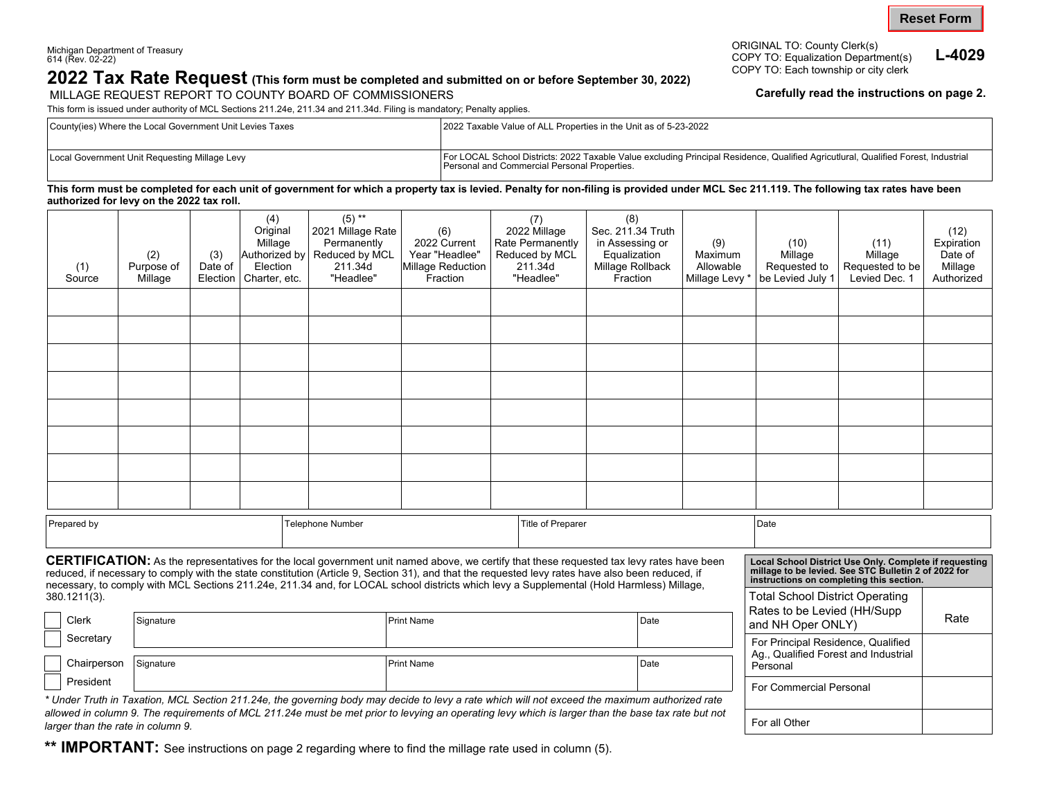President

## **2022 Tax Rate Request** (This form must be completed and submitted on or before September 30, 2022)<br>MILLAGE REQUEST REPORT TO COUNTY BOARD OF COMMISSIONERS **STARE COMMISSION COMMISSIONERS** MILLAGE REQUEST REPORT TO COUNTY BOARD OF COMMISSIONERS

This form is issued under authority of MCL Sections 211.24e, 211.34 and 211.34d. Filing is mandatory; Penalty applies.

ORIGINAL TO: County Clerk(s) Michigan Department of Treasury 616 (COPY TO: Equalization Department(s) **L-4029**<br>COPY TO: Each township or city clerk

For Commercial Personal

For all Other

| County(ies) Where the Local Government Unit Levies Taxes | 2022 Taxable Value of ALL Properties in the Unit as of 5-23-2022                                                                                                                   |  |  |  |  |
|----------------------------------------------------------|------------------------------------------------------------------------------------------------------------------------------------------------------------------------------------|--|--|--|--|
|                                                          |                                                                                                                                                                                    |  |  |  |  |
| Local Government Unit Requesting Millage Levy            | For LOCAL School Districts: 2022 Taxable Value excluding Principal Residence, Qualified Agricutlural, Qualified Forest, Industrial<br>Personal and Commercial Personal Properties. |  |  |  |  |

**This form must be completed for each unit of government for which a property tax is levied. Penalty for non-filing is provided under MCL Sec 211.119. The following tax rates have been authorized for levy on the 2022 tax roll.** 

|                                 | (1)<br>Source                                                                                                                                                                                                                                                                                                                                                                                                                                                                                                                                                                                             | (2)<br>Purpose of<br>Millage | (3)<br>Date of<br>Election | (4)<br>Original<br>Millage<br>Authorized by<br>Election<br>Charter, etc. | $(5)$ **<br>2021 Millage Rate<br>Permanently<br>Reduced by MCL<br>211.34d<br>"Headlee" | (6)<br>2022 Current<br>Year "Headlee"<br>Millage Reduction<br>Fraction | (7)<br>2022 Millage<br>Rate Permanently<br>Reduced by MCL<br>211.34d<br>"Headlee" | (8)<br>Sec. 211.34 Truth<br>in Assessing or<br>Equalization<br>Millage Rollback<br>Fraction | (9)<br>Maximum<br>Allowable<br>Millage Levy * | (10)<br>Millage<br>Requested to<br>be Levied July 1                        | (11)<br>Millage<br>Requested to be<br>Levied Dec. 1 | (12)<br>Expiration<br>Date of<br>Millage<br>Authorized |  |
|---------------------------------|-----------------------------------------------------------------------------------------------------------------------------------------------------------------------------------------------------------------------------------------------------------------------------------------------------------------------------------------------------------------------------------------------------------------------------------------------------------------------------------------------------------------------------------------------------------------------------------------------------------|------------------------------|----------------------------|--------------------------------------------------------------------------|----------------------------------------------------------------------------------------|------------------------------------------------------------------------|-----------------------------------------------------------------------------------|---------------------------------------------------------------------------------------------|-----------------------------------------------|----------------------------------------------------------------------------|-----------------------------------------------------|--------------------------------------------------------|--|
|                                 |                                                                                                                                                                                                                                                                                                                                                                                                                                                                                                                                                                                                           |                              |                            |                                                                          |                                                                                        |                                                                        |                                                                                   |                                                                                             |                                               |                                                                            |                                                     |                                                        |  |
|                                 |                                                                                                                                                                                                                                                                                                                                                                                                                                                                                                                                                                                                           |                              |                            |                                                                          |                                                                                        |                                                                        |                                                                                   |                                                                                             |                                               |                                                                            |                                                     |                                                        |  |
|                                 |                                                                                                                                                                                                                                                                                                                                                                                                                                                                                                                                                                                                           |                              |                            |                                                                          |                                                                                        |                                                                        |                                                                                   |                                                                                             |                                               |                                                                            |                                                     |                                                        |  |
|                                 |                                                                                                                                                                                                                                                                                                                                                                                                                                                                                                                                                                                                           |                              |                            |                                                                          |                                                                                        |                                                                        |                                                                                   |                                                                                             |                                               |                                                                            |                                                     |                                                        |  |
|                                 |                                                                                                                                                                                                                                                                                                                                                                                                                                                                                                                                                                                                           |                              |                            |                                                                          |                                                                                        |                                                                        |                                                                                   |                                                                                             |                                               |                                                                            |                                                     |                                                        |  |
|                                 |                                                                                                                                                                                                                                                                                                                                                                                                                                                                                                                                                                                                           |                              |                            |                                                                          |                                                                                        |                                                                        |                                                                                   |                                                                                             |                                               |                                                                            |                                                     |                                                        |  |
|                                 |                                                                                                                                                                                                                                                                                                                                                                                                                                                                                                                                                                                                           |                              |                            |                                                                          |                                                                                        |                                                                        |                                                                                   |                                                                                             |                                               |                                                                            |                                                     |                                                        |  |
|                                 |                                                                                                                                                                                                                                                                                                                                                                                                                                                                                                                                                                                                           |                              |                            |                                                                          |                                                                                        |                                                                        |                                                                                   |                                                                                             |                                               |                                                                            |                                                     |                                                        |  |
| Prepared by<br>Telephone Number |                                                                                                                                                                                                                                                                                                                                                                                                                                                                                                                                                                                                           |                              |                            | Title of Preparer                                                        |                                                                                        |                                                                        |                                                                                   | Date                                                                                        |                                               |                                                                            |                                                     |                                                        |  |
|                                 | CERTIFICATION: As the representatives for the local government unit named above, we certify that these requested tax levy rates have been<br>Local School District Use Only. Complete if requesting<br>millage to be levied. See STC Bulletin 2 of 2022 for<br>reduced, if necessary to comply with the state constitution (Article 9, Section 31), and that the requested levy rates have also been reduced, if<br>instructions on completing this section.<br>necessary, to comply with MCL Sections 211.24e, 211.34 and, for LOCAL school districts which levy a Supplemental (Hold Harmless) Millage, |                              |                            |                                                                          |                                                                                        |                                                                        |                                                                                   |                                                                                             |                                               |                                                                            |                                                     |                                                        |  |
| 380.1211(3).                    |                                                                                                                                                                                                                                                                                                                                                                                                                                                                                                                                                                                                           |                              |                            |                                                                          |                                                                                        |                                                                        |                                                                                   |                                                                                             |                                               | <b>Total School District Operating</b><br>Rates to be Levied (HH/Supp      |                                                     |                                                        |  |
|                                 | Clerk                                                                                                                                                                                                                                                                                                                                                                                                                                                                                                                                                                                                     | Signature                    |                            |                                                                          |                                                                                        | <b>Print Name</b><br>Date                                              |                                                                                   |                                                                                             |                                               | and NH Oper ONLY)                                                          | Rate                                                |                                                        |  |
|                                 | Secretary                                                                                                                                                                                                                                                                                                                                                                                                                                                                                                                                                                                                 |                              |                            |                                                                          |                                                                                        |                                                                        |                                                                                   |                                                                                             |                                               | For Principal Residence, Qualified<br>Ag., Qualified Forest and Industrial |                                                     |                                                        |  |
|                                 | Chairperson                                                                                                                                                                                                                                                                                                                                                                                                                                                                                                                                                                                               | Signature                    |                            |                                                                          |                                                                                        | <b>Print Name</b>                                                      |                                                                                   | Date                                                                                        | Personal                                      |                                                                            |                                                     |                                                        |  |

*\* Under Truth in Taxation, MCL Section 211.24e, the governing body may decide to levy a rate which will not exceed the maximum authorized rate allowed in column 9. The requirements of MCL 211.24e must be met prior to levying an operating levy which is larger than the base tax rate but not larger than the rate in column 9.* 

**\*\* IMPORTANT:** See instructions on page 2 regarding where to find the millage rate used in column (5).